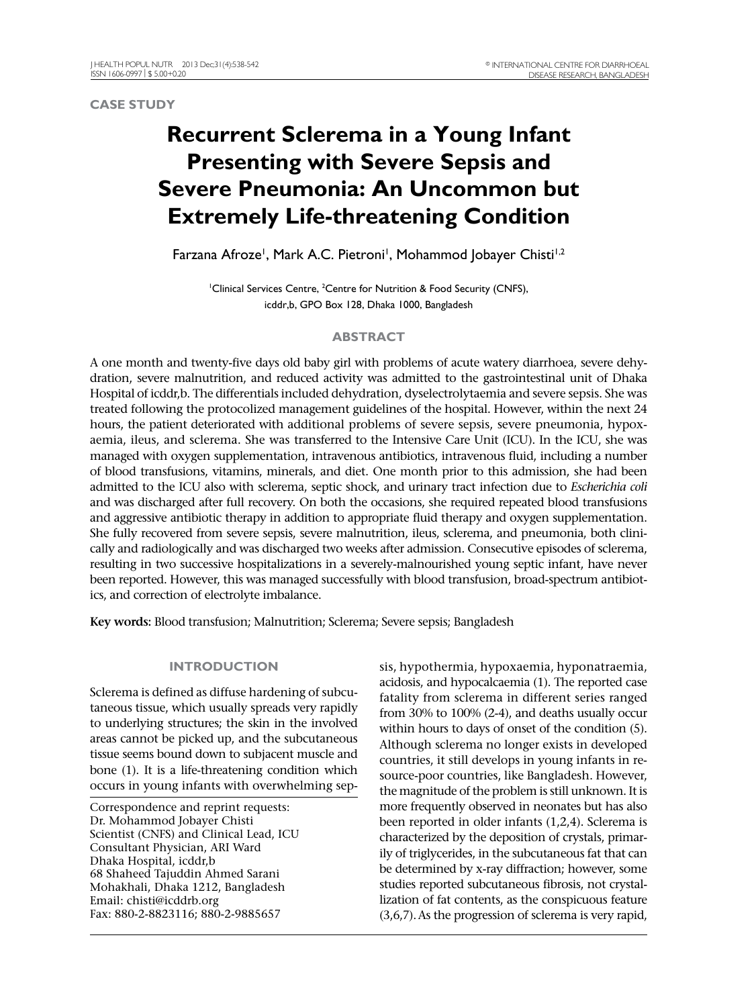**CASE STUDY**

# **Recurrent Sclerema in a Young Infant Presenting with Severe Sepsis and Severe Pneumonia: An Uncommon but Extremely Life-threatening Condition**

Farzana Afroze<sup>i</sup>, Mark A.C. Pietroni<sup>i</sup>, Mohammod Jobayer Chisti<sup>i,2</sup>

<sup>1</sup>Clinical Services Centre, <sup>2</sup>Centre for Nutrition & Food Security (CNFS), icddr,b, GPO Box 128, Dhaka 1000, Bangladesh

## **ABSTRACT**

A one month and twenty-five days old baby girl with problems of acute watery diarrhoea, severe dehydration, severe malnutrition, and reduced activity was admitted to the gastrointestinal unit of Dhaka Hospital of icddr,b. The differentials included dehydration, dyselectrolytaemia and severe sepsis. She was treated following the protocolized management guidelines of the hospital. However, within the next 24 hours, the patient deteriorated with additional problems of severe sepsis, severe pneumonia, hypoxaemia, ileus, and sclerema. She was transferred to the Intensive Care Unit (ICU). In the ICU, she was managed with oxygen supplementation, intravenous antibiotics, intravenous fluid, including a number of blood transfusions, vitamins, minerals, and diet. One month prior to this admission, she had been admitted to the ICU also with sclerema, septic shock, and urinary tract infection due to *Escherichia coli* and was discharged after full recovery. On both the occasions, she required repeated blood transfusions and aggressive antibiotic therapy in addition to appropriate fluid therapy and oxygen supplementation. She fully recovered from severe sepsis, severe malnutrition, ileus, sclerema, and pneumonia, both clinically and radiologically and was discharged two weeks after admission. Consecutive episodes of sclerema, resulting in two successive hospitalizations in a severely-malnourished young septic infant, have never been reported. However, this was managed successfully with blood transfusion, broad-spectrum antibiotics, and correction of electrolyte imbalance.

**Key words:** Blood transfusion; Malnutrition; Sclerema; Severe sepsis; Bangladesh

# **INTRODUCTION**

Sclerema is defined as diffuse hardening of subcutaneous tissue, which usually spreads very rapidly to underlying structures; the skin in the involved areas cannot be picked up, and the subcutaneous tissue seems bound down to subjacent muscle and bone (1). It is a life-threatening condition which occurs in young infants with overwhelming sep-

Correspondence and reprint requests: Dr. Mohammod Jobayer Chisti Scientist (CNFS) and Clinical Lead, ICU Consultant Physician, ARI Ward Dhaka Hospital, icddr,b 68 Shaheed Tajuddin Ahmed Sarani Mohakhali, Dhaka 1212, Bangladesh Email: chisti@icddrb.org Fax: 880-2-8823116; 880-2-9885657

sis, hypothermia, hypoxaemia, hyponatraemia, acidosis, and hypocalcaemia (1). The reported case fatality from sclerema in different series ranged from 30% to 100% (2-4), and deaths usually occur within hours to days of onset of the condition (5). Although sclerema no longer exists in developed countries, it still develops in young infants in resource-poor countries, like Bangladesh. However, the magnitude of the problem is still unknown. It is more frequently observed in neonates but has also been reported in older infants (1,2,4). Sclerema is characterized by the deposition of crystals, primarily of triglycerides, in the subcutaneous fat that can be determined by x-ray diffraction; however, some studies reported subcutaneous fibrosis, not crystallization of fat contents, as the conspicuous feature (3,6,7).As the progression of sclerema is very rapid,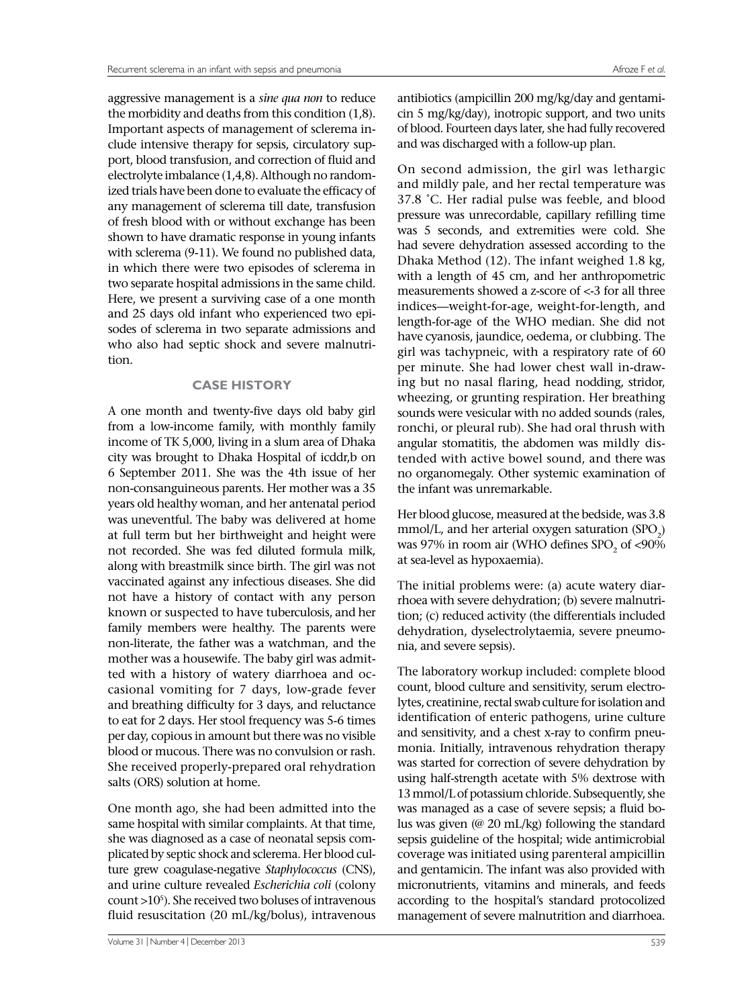aggressive management is a *sine qua non* to reduce the morbidity and deaths from this condition (1,8). Important aspects of management of sclerema include intensive therapy for sepsis, circulatory support, blood transfusion, and correction of fluid and electrolyte imbalance (1,4,8). Although no randomized trials have been done to evaluate the efficacy of any management of sclerema till date, transfusion of fresh blood with or without exchange has been shown to have dramatic response in young infants with sclerema (9-11). We found no published data, in which there were two episodes of sclerema in two separate hospital admissions in the same child. Here, we present a surviving case of a one month and 25 days old infant who experienced two episodes of sclerema in two separate admissions and who also had septic shock and severe malnutrition.

#### **CASE HISTORY**

A one month and twenty-five days old baby girl from a low-income family, with monthly family income of TK 5,000, living in a slum area of Dhaka city was brought to Dhaka Hospital of icddr,b on 6 September 2011. She was the 4th issue of her non-consanguineous parents. Her mother was a 35 years old healthy woman, and her antenatal period was uneventful. The baby was delivered at home at full term but her birthweight and height were not recorded. She was fed diluted formula milk, along with breastmilk since birth. The girl was not vaccinated against any infectious diseases. She did not have a history of contact with any person known or suspected to have tuberculosis, and her family members were healthy. The parents were non-literate, the father was a watchman, and the mother was a housewife. The baby girl was admitted with a history of watery diarrhoea and occasional vomiting for 7 days, low-grade fever and breathing difficulty for 3 days, and reluctance to eat for 2 days. Her stool frequency was 5-6 times per day, copious in amount but there was no visible blood or mucous. There was no convulsion or rash. She received properly-prepared oral rehydration salts (ORS) solution at home.

One month ago, she had been admitted into the same hospital with similar complaints. At that time, she was diagnosed as a case of neonatal sepsis complicated by septic shock and sclerema. Her blood culture grew coagulase-negative *Staphylococcus* (CNS), and urine culture revealed *Escherichia coli* (colony count >105 ). She received two boluses of intravenous fluid resuscitation (20 mL/kg/bolus), intravenous

antibiotics (ampicillin 200 mg/kg/day and gentamicin 5 mg/kg/day), inotropic support, and two units of blood. Fourteen days later, she had fully recovered and was discharged with a follow-up plan.

On second admission, the girl was lethargic and mildly pale, and her rectal temperature was 37.8 ˚C. Her radial pulse was feeble, and blood pressure was unrecordable, capillary refilling time was 5 seconds, and extremities were cold. She had severe dehydration assessed according to the Dhaka Method (12). The infant weighed 1.8 kg, with a length of 45 cm, and her anthropometric measurements showed a z-score of <-3 for all three indices—weight-for-age, weight-for-length, and length-for-age of the WHO median. She did not have cyanosis, jaundice, oedema, or clubbing. The girl was tachypneic, with a respiratory rate of 60 per minute. She had lower chest wall in-drawing but no nasal flaring, head nodding, stridor, wheezing, or grunting respiration. Her breathing sounds were vesicular with no added sounds (rales, ronchi, or pleural rub). She had oral thrush with angular stomatitis, the abdomen was mildly distended with active bowel sound, and there was no organomegaly. Other systemic examination of the infant was unremarkable.

Her blood glucose, measured at the bedside, was 3.8 mmol/L, and her arterial oxygen saturation  $(SPO<sub>2</sub>)$ was 97% in room air (WHO defines  $\text{SPO}_2$  of  $\text{<}90\text{/}00$ at sea-level as hypoxaemia).

The initial problems were: (a) acute watery diarrhoea with severe dehydration; (b) severe malnutrition; (c) reduced activity (the differentials included dehydration, dyselectrolytaemia, severe pneumonia, and severe sepsis).

The laboratory workup included: complete blood count, blood culture and sensitivity, serum electrolytes, creatinine, rectal swab culture for isolation and identification of enteric pathogens, urine culture and sensitivity, and a chest x-ray to confirm pneumonia. Initially, intravenous rehydration therapy was started for correction of severe dehydration by using half-strength acetate with 5% dextrose with 13 mmol/L of potassium chloride. Subsequently, she was managed as a case of severe sepsis; a fluid bolus was given (@ 20 mL/kg) following the standard sepsis guideline of the hospital; wide antimicrobial coverage was initiated using parenteral ampicillin and gentamicin. The infant was also provided with micronutrients, vitamins and minerals, and feeds according to the hospital's standard protocolized management of severe malnutrition and diarrhoea.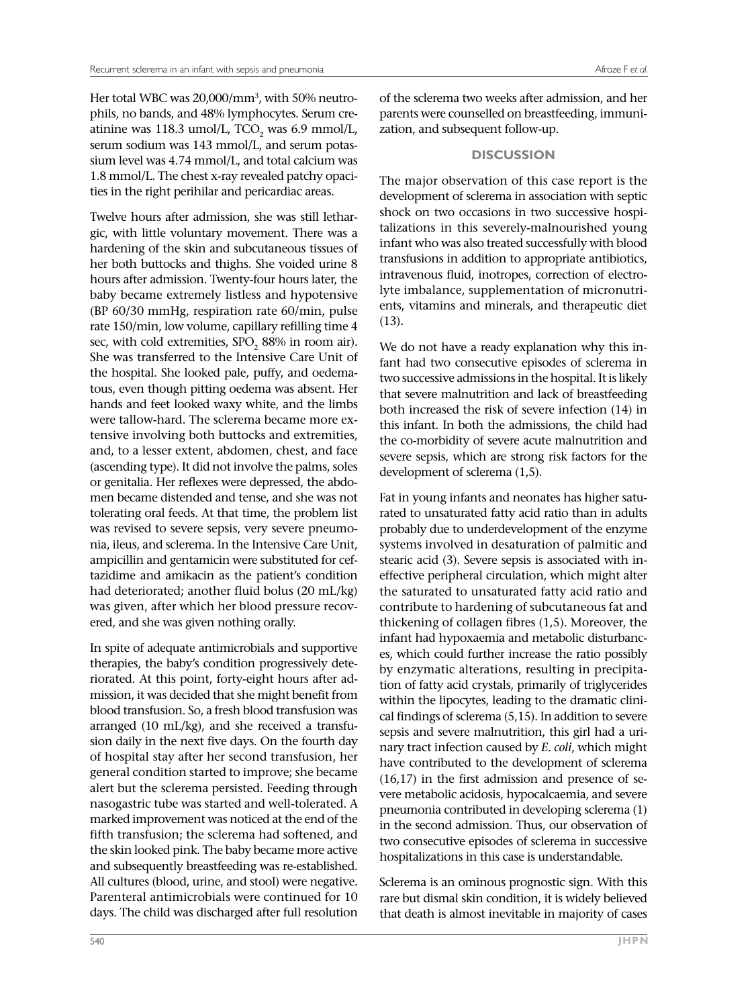Her total WBC was 20,000/mm3 , with 50% neutrophils, no bands, and 48% lymphocytes. Serum creatinine was 118.3 umol/L,  $TCO_2$  was 6.9 mmol/L, serum sodium was 143 mmol/L, and serum potassium level was 4.74 mmol/L, and total calcium was 1.8 mmol/L. The chest x-ray revealed patchy opacities in the right perihilar and pericardiac areas.

Twelve hours after admission, she was still lethargic, with little voluntary movement. There was a hardening of the skin and subcutaneous tissues of her both buttocks and thighs. She voided urine 8 hours after admission. Twenty-four hours later, the baby became extremely listless and hypotensive (BP 60/30 mmHg, respiration rate 60/min, pulse rate 150/min, low volume, capillary refilling time 4 sec, with cold extremities,  $\text{SPO}_2$  88% in room air). She was transferred to the Intensive Care Unit of the hospital. She looked pale, puffy, and oedematous, even though pitting oedema was absent. Her hands and feet looked waxy white, and the limbs were tallow-hard. The sclerema became more extensive involving both buttocks and extremities, and, to a lesser extent, abdomen, chest, and face (ascending type). It did not involve the palms, soles or genitalia. Her reflexes were depressed, the abdomen became distended and tense, and she was not tolerating oral feeds. At that time, the problem list was revised to severe sepsis, very severe pneumonia, ileus, and sclerema. In the Intensive Care Unit, ampicillin and gentamicin were substituted for ceftazidime and amikacin as the patient's condition had deteriorated; another fluid bolus (20 mL/kg) was given, after which her blood pressure recovered, and she was given nothing orally.

In spite of adequate antimicrobials and supportive therapies, the baby's condition progressively deteriorated. At this point, forty-eight hours after admission, it was decided that she might benefit from blood transfusion. So, a fresh blood transfusion was arranged (10 mL/kg), and she received a transfusion daily in the next five days. On the fourth day of hospital stay after her second transfusion, her general condition started to improve; she became alert but the sclerema persisted. Feeding through nasogastric tube was started and well-tolerated. A marked improvement was noticed at the end of the fifth transfusion; the sclerema had softened, and the skin looked pink. The baby became more active and subsequently breastfeeding was re-established. All cultures (blood, urine, and stool) were negative. Parenteral antimicrobials were continued for 10 days. The child was discharged after full resolution

of the sclerema two weeks after admission, and her parents were counselled on breastfeeding, immunization, and subsequent follow-up.

## **DISCUSSION**

The major observation of this case report is the development of sclerema in association with septic shock on two occasions in two successive hospitalizations in this severely-malnourished young infant who was also treated successfully with blood transfusions in addition to appropriate antibiotics, intravenous fluid, inotropes, correction of electrolyte imbalance, supplementation of micronutrients, vitamins and minerals, and therapeutic diet (13).

We do not have a ready explanation why this infant had two consecutive episodes of sclerema in two successive admissions in the hospital. It is likely that severe malnutrition and lack of breastfeeding both increased the risk of severe infection (14) in this infant. In both the admissions, the child had the co-morbidity of severe acute malnutrition and severe sepsis, which are strong risk factors for the development of sclerema (1,5).

Fat in young infants and neonates has higher saturated to unsaturated fatty acid ratio than in adults probably due to underdevelopment of the enzyme systems involved in desaturation of palmitic and stearic acid (3). Severe sepsis is associated with ineffective peripheral circulation, which might alter the saturated to unsaturated fatty acid ratio and contribute to hardening of subcutaneous fat and thickening of collagen fibres (1,5). Moreover, the infant had hypoxaemia and metabolic disturbances, which could further increase the ratio possibly by enzymatic alterations, resulting in precipitation of fatty acid crystals, primarily of triglycerides within the lipocytes, leading to the dramatic clinical findings of sclerema (5,15). In addition to severe sepsis and severe malnutrition, this girl had a urinary tract infection caused by *E. coli*, which might have contributed to the development of sclerema (16,17) in the first admission and presence of severe metabolic acidosis, hypocalcaemia, and severe pneumonia contributed in developing sclerema (1) in the second admission. Thus, our observation of two consecutive episodes of sclerema in successive hospitalizations in this case is understandable.

Sclerema is an ominous prognostic sign. With this rare but dismal skin condition, it is widely believed that death is almost inevitable in majority of cases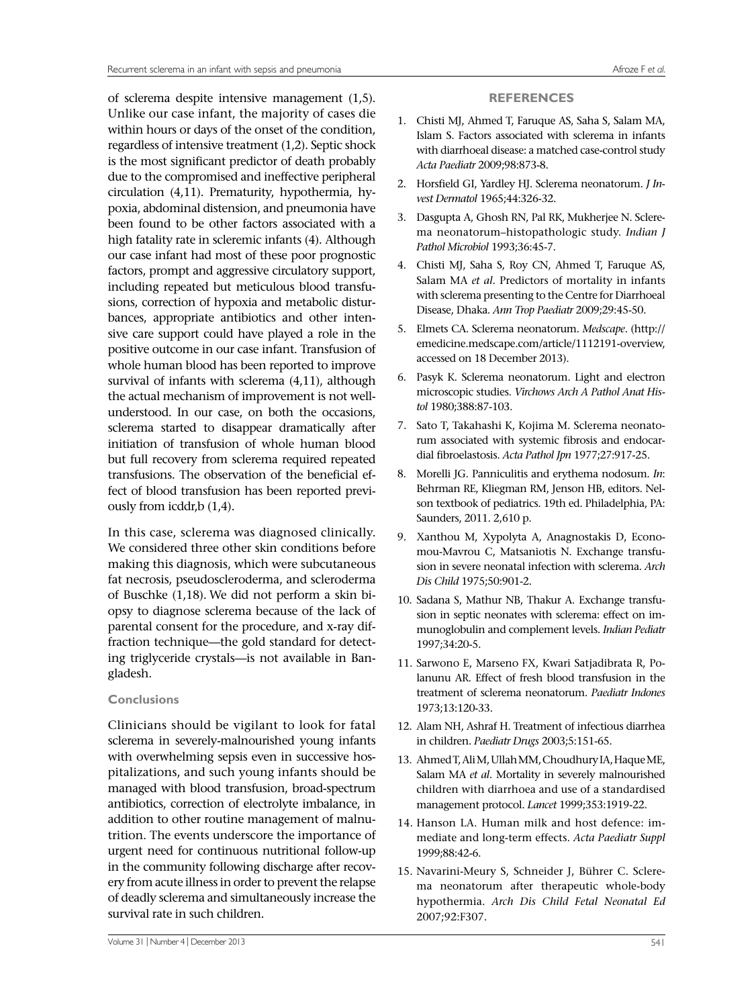of sclerema despite intensive management (1,5). Unlike our case infant, the majority of cases die within hours or days of the onset of the condition, regardless of intensive treatment (1,2). Septic shock is the most significant predictor of death probably due to the compromised and ineffective peripheral circulation (4,11). Prematurity, hypothermia, hypoxia, abdominal distension, and pneumonia have been found to be other factors associated with a high fatality rate in scleremic infants (4). Although our case infant had most of these poor prognostic factors, prompt and aggressive circulatory support, including repeated but meticulous blood transfusions, correction of hypoxia and metabolic disturbances, appropriate antibiotics and other intensive care support could have played a role in the positive outcome in our case infant. Transfusion of whole human blood has been reported to improve survival of infants with sclerema (4,11), although the actual mechanism of improvement is not wellunderstood. In our case, on both the occasions, sclerema started to disappear dramatically after initiation of transfusion of whole human blood but full recovery from sclerema required repeated transfusions. The observation of the beneficial effect of blood transfusion has been reported previously from icddr,b (1,4).

In this case, sclerema was diagnosed clinically. We considered three other skin conditions before making this diagnosis, which were subcutaneous fat necrosis, pseudoscleroderma, and scleroderma of Buschke (1,18). We did not perform a skin biopsy to diagnose sclerema because of the lack of parental consent for the procedure, and x-ray diffraction technique—the gold standard for detecting triglyceride crystals—is not available in Bangladesh.

#### **Conclusions**

Clinicians should be vigilant to look for fatal sclerema in severely-malnourished young infants with overwhelming sepsis even in successive hospitalizations, and such young infants should be managed with blood transfusion, broad-spectrum antibiotics, correction of electrolyte imbalance, in addition to other routine management of malnutrition. The events underscore the importance of urgent need for continuous nutritional follow-up in the community following discharge after recovery from acute illness in order to prevent the relapse of deadly sclerema and simultaneously increase the survival rate in such children.

#### **REFERENCES**

- 1. Chisti MJ, Ahmed T, Faruque AS, Saha S, Salam MA, Islam S. Factors associated with sclerema in infants with diarrhoeal disease: a matched case-control study *Acta Paediatr* 2009;98:873-8.
- 2. Horsfield GI, Yardley HJ. Sclerema neonatorum. *J Invest Dermatol* 1965;44:326-32.
- 3. Dasgupta A, Ghosh RN, Pal RK, Mukherjee N. Sclerema neonatorum–histopathologic study. *Indian J Pathol Microbiol* 1993;36:45-7.
- 4. Chisti MJ, Saha S, Roy CN, Ahmed T, Faruque AS, Salam MA *et al.* Predictors of mortality in infants with sclerema presenting to the Centre for Diarrhoeal Disease, Dhaka. *Ann Trop Paediatr* 2009;29:45-50.
- 5. Elmets CA. Sclerema neonatorum. *Medscape*. (http:// emedicine.medscape.com/article/1112191-overview, accessed on 18 December 2013).
- 6. Pasyk K. Sclerema neonatorum. Light and electron microscopic studies. *Virchows Arch A Pathol Anat Histol* 1980;388:87-103.
- 7. Sato T, Takahashi K, Kojima M. Sclerema neonatorum associated with systemic fibrosis and endocardial fibroelastosis. *Acta Pathol Jpn* 1977;27:917-25.
- 8. Morelli JG. Panniculitis and erythema nodosum. *In*: Behrman RE, Kliegman RM, Jenson HB, editors. Nelson textbook of pediatrics. 19th ed. Philadelphia, PA: Saunders, 2011. 2,610 p.
- 9. Xanthou M, Xypolyta A, Anagnostakis D, Economou-Mavrou C, Matsaniotis N. Exchange transfusion in severe neonatal infection with sclerema. *Arch Dis Child* 1975;50:901-2.
- 10. Sadana S, Mathur NB, Thakur A. Exchange transfusion in septic neonates with sclerema: effect on immunoglobulin and complement levels. *Indian Pediatr* 1997;34:20-5.
- 11. Sarwono E, Marseno FX, Kwari Satjadibrata R, Polanunu AR. Effect of fresh blood transfusion in the treatment of sclerema neonatorum. *Paediatr Indones* 1973;13:120-33.
- 12. Alam NH, Ashraf H. Treatment of infectious diarrhea in children. *Paediatr Drugs* 2003;5:151-65.
- 13. Ahmed T, Ali M, Ullah MM, Choudhury IA, Haque ME, Salam MA *et al*. Mortality in severely malnourished children with diarrhoea and use of a standardised management protocol. *Lancet* 1999;353:1919-22.
- 14. Hanson LA. Human milk and host defence: immediate and long-term effects. *Acta Paediatr Suppl* 1999;88:42-6.
- 15. Navarini-Meury S, Schneider J, Bührer C. Sclerema neonatorum after therapeutic whole-body hypothermia. *Arch Dis Child Fetal Neonatal Ed*  2007;92:F307.